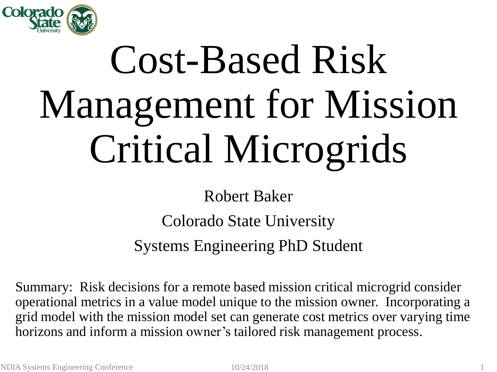

# Cost-Based Risk Management for Mission Critical Microgrids

Robert Baker

Colorado State University

Systems Engineering PhD Student

Summary: Risk decisions for a remote based mission critical microgrid consider operational metrics in a value model unique to the mission owner. Incorporating a grid model with the mission model set can generate cost metrics over varying time horizons and inform a mission owner's tailored risk management process.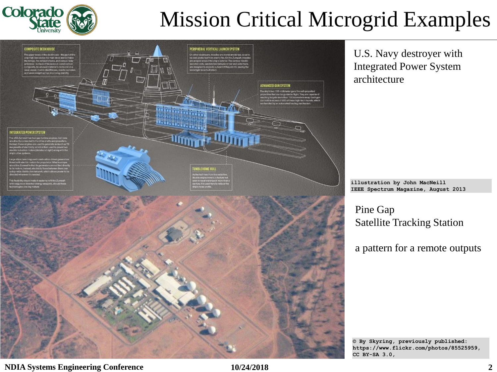

## Mission Critical Microgrid Examples



U.S. Navy destroyer with Integrated Power System architecture

**illustration by John MacNeill IEEE Spectrum Magazine, August 2013**

Pine Gap Satellite Tracking Station

a pattern for a remote outputs

**© By Skyring, previously published: https://www.flickr.com/photos/85525959, CC BY-SA 3.0,**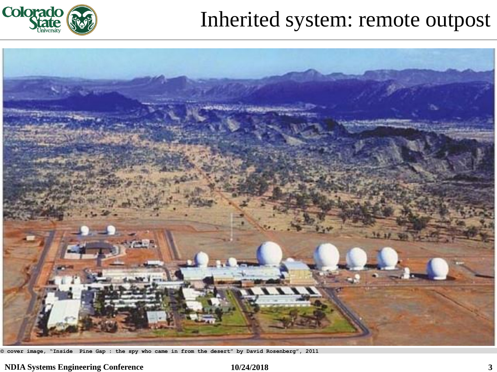

## Inherited system: remote outpost



**© cover image, "Inside Pine Gap : the spy who came in from the desert" by David Rosenberg", 2011**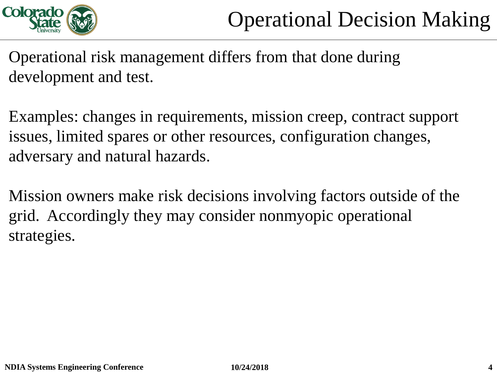

Operational risk management differs from that done during development and test.

Examples: changes in requirements, mission creep, contract support issues, limited spares or other resources, configuration changes, adversary and natural hazards.

Mission owners make risk decisions involving factors outside of the grid. Accordingly they may consider nonmyopic operational strategies.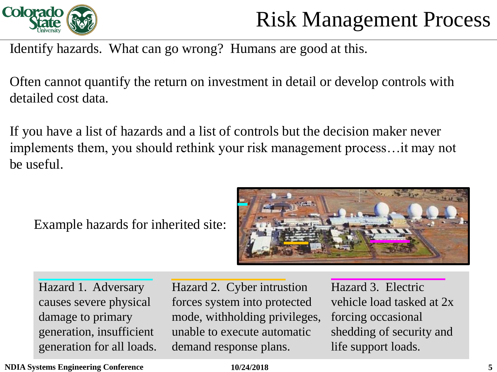

## Risk Management Process

Identify hazards. What can go wrong? Humans are good at this.

Often cannot quantify the return on investment in detail or develop controls with detailed cost data.

If you have a list of hazards and a list of controls but the decision maker never implements them, you should rethink your risk management process…it may not be useful.

Example hazards for inherited site:



Hazard 1. Adversary causes severe physical damage to primary generation, insufficient generation for all loads. Hazard 2. Cyber intrustion forces system into protected mode, withholding privileges, unable to execute automatic demand response plans.

Hazard 3. Electric vehicle load tasked at 2x forcing occasional shedding of security and life support loads.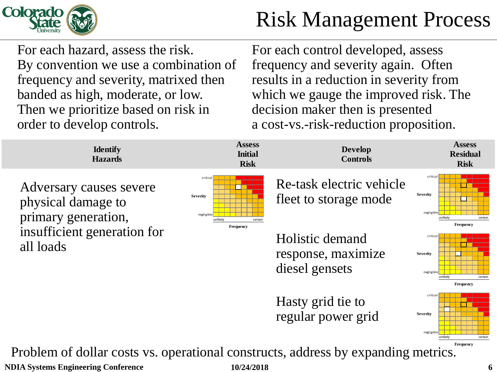

## Risk Management Process

For each hazard, assess the risk. By convention we use a combination of frequency and severity, matrixed then banded as high, moderate, or low. Then we prioritize based on risk in order to develop controls.

For each control developed, assess frequency and severity again. Often results in a reduction in severity from which we gauge the improved risk. The decision maker then is presented a cost-vs.-risk-reduction proposition.

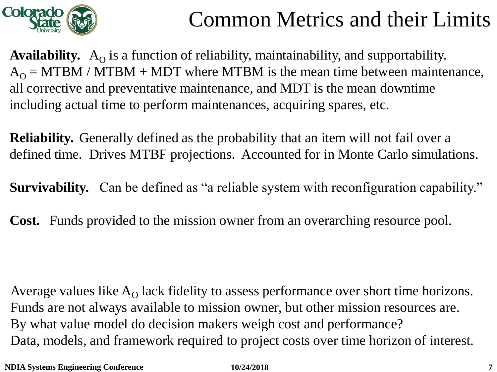

Availability. A<sub>O</sub> is a function of reliability, maintainability, and supportability.  $A_{\Omega}$  = MTBM / MTBM + MDT where MTBM is the mean time between maintenance, all corrective and preventative maintenance, and MDT is the mean downtime including actual time to perform maintenances, acquiring spares, etc.

**Reliability.** Generally defined as the probability that an item will not fail over a defined time. Drives MTBF projections. Accounted for in Monte Carlo simulations.

**Survivability.** Can be defined as "a reliable system with reconfiguration capability."

**Cost.** Funds provided to the mission owner from an overarching resource pool.

Average values like  $A_{\Omega}$  lack fidelity to assess performance over short time horizons. Funds are not always available to mission owner, but other mission resources are. By what value model do decision makers weigh cost and performance? Data, models, and framework required to project costs over time horizon of interest.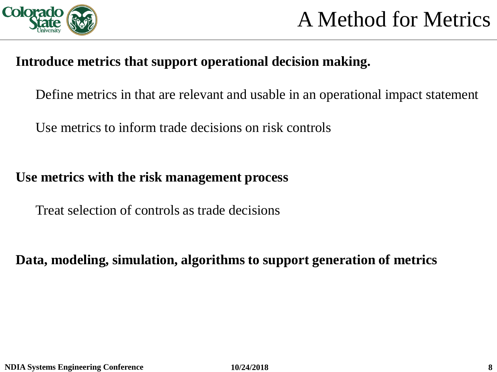

#### **Introduce metrics that support operational decision making.**

Define metrics in that are relevant and usable in an operational impact statement

Use metrics to inform trade decisions on risk controls

#### **Use metrics with the risk management process**

Treat selection of controls as trade decisions

**Data, modeling, simulation, algorithms to support generation of metrics**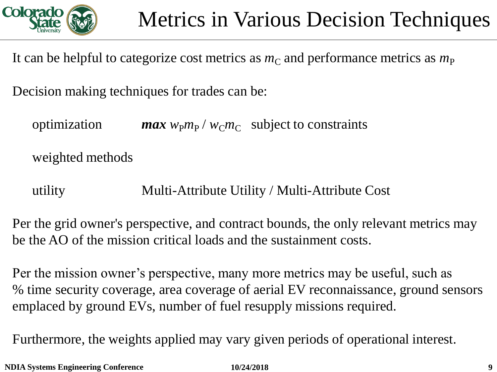

It can be helpful to categorize cost metrics as  $m<sub>C</sub>$  and performance metrics as  $m<sub>P</sub>$ 

Decision making techniques for trades can be:

 $\gamma$  *p*timization *max*  $w_{\rm P}m_{\rm P}$  /  $w_{\rm C}m_{\rm C}$  subject to constraints

weighted methods

utility Multi-Attribute Utility / Multi-Attribute Cost

Per the grid owner's perspective, and contract bounds, the only relevant metrics may be the AO of the mission critical loads and the sustainment costs.

Per the mission owner's perspective, many more metrics may be useful, such as % time security coverage, area coverage of aerial EV reconnaissance, ground sensors emplaced by ground EVs, number of fuel resupply missions required.

Furthermore, the weights applied may vary given periods of operational interest.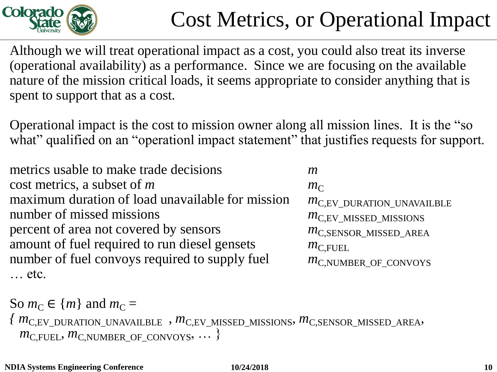

# Cost Metrics, or Operational Impact

Although we will treat operational impact as a cost, you could also treat its inverse (operational availability) as a performance. Since we are focusing on the available nature of the mission critical loads, it seems appropriate to consider anything that is spent to support that as a cost.

Operational impact is the cost to mission owner along all mission lines. It is the "so what" qualified on an "operationl impact statement" that justifies requests for support.

metrics usable to make trade decisions *m* cost metrics, a subset of *m*  $m<sub>C</sub>$ maximum duration of load unavailable for mission  $m_{C,EV_DURATION_UNAVAILBLE}$ number of missed missions *m*<sub>C,EV\_MISSED\_MISSIONS</sub> percent of area not covered by sensors *m*<sub>C,SENSOR</sub> MISSED AREA amount of fuel required to run diesel gensets *m*<sub>C,FUEL</sub> number of fuel convoys required to supply fuel *m*<sub>C,NUMBER</sub> OF CONVOYS … etc.

```
So m_C \in \{m\} and m_C ={ mC,EV_DURATION_UNAVAILBLE , mC,EV_MISSED_MISSIONS, mC,SENSOR_MISSED_AREA, 
m_{\text{C,FUEL}}, m_{\text{C,NUMBER\_OF\_CONVOYS}}, \dots
```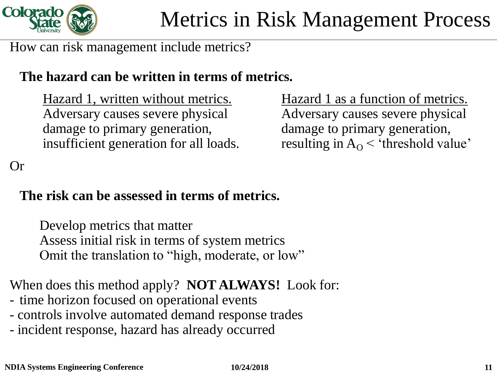

How can risk management include metrics?

### **The hazard can be written in terms of metrics.**

Hazard 1, written without metrics. Hazard 1 as a function of metrics. Adversary causes severe physical Adversary causes severe physical damage to primary generation, the damage to primary generation, insufficient generation for all loads. resulting in  $A_{\rm O}$  < 'threshold value'

Or

## **The risk can be assessed in terms of metrics.**

Develop metrics that matter Assess initial risk in terms of system metrics Omit the translation to "high, moderate, or low"

When does this method apply? **NOT ALWAYS!** Look for:

- time horizon focused on operational events
- controls involve automated demand response trades
- incident response, hazard has already occurred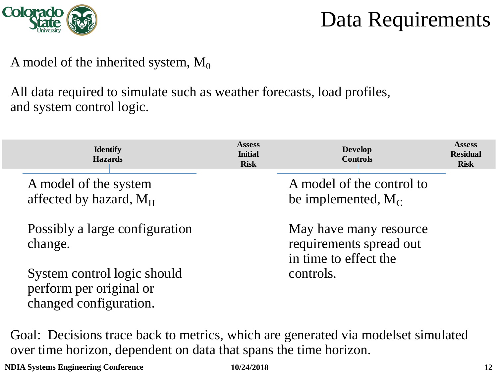

A model of the inherited system,  $M_0$ 

All data required to simulate such as weather forecasts, load profiles, and system control logic.

| <b>Identify</b><br><b>Hazards</b>                                                | <b>Assess</b><br><b>Initial</b><br><b>Risk</b> | <b>Develop</b><br><b>Controls</b>                                          | <b>Assess</b><br><b>Residual</b><br><b>Risk</b> |
|----------------------------------------------------------------------------------|------------------------------------------------|----------------------------------------------------------------------------|-------------------------------------------------|
| A model of the system<br>affected by hazard, M <sub>H</sub>                      |                                                | A model of the control to<br>be implemented, $M_C$                         |                                                 |
| Possibly a large configuration<br>change.                                        |                                                | May have many resource<br>requirements spread out<br>in time to effect the |                                                 |
| System control logic should<br>perform per original or<br>changed configuration. |                                                | controls.                                                                  |                                                 |

Goal: Decisions trace back to metrics, which are generated via modelset simulated over time horizon, dependent on data that spans the time horizon.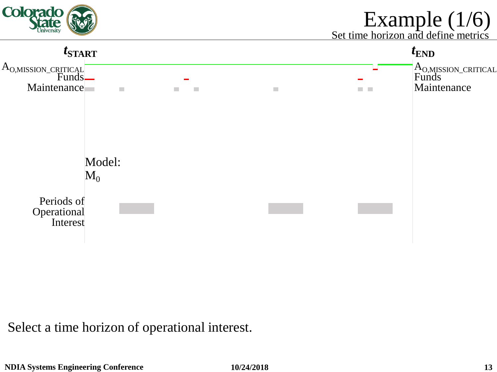

## Example (1/6)

Set time horizon and define metrics



Select a time horizon of operational interest.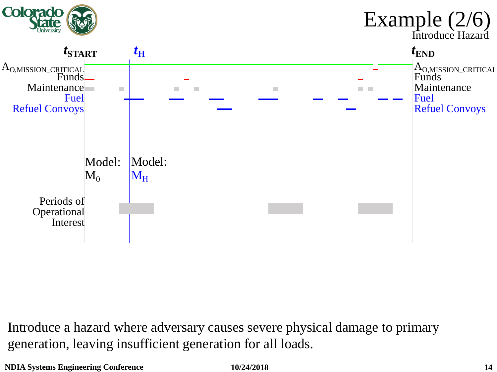

Introduce a hazard where adversary causes severe physical damage to primary generation, leaving insufficient generation for all loads.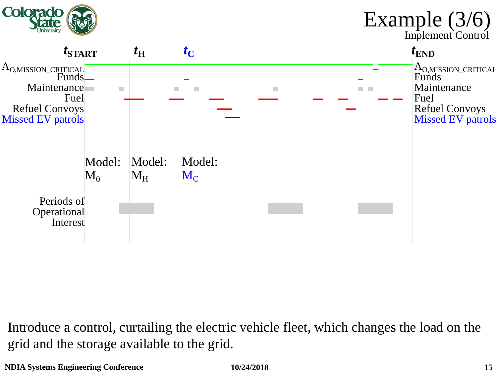

Introduce a control, curtailing the electric vehicle fleet, which changes the load on the grid and the storage available to the grid.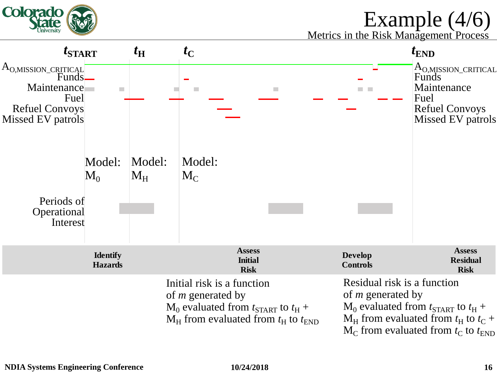

## Example (4/6)

Metrics in the Risk Management Process

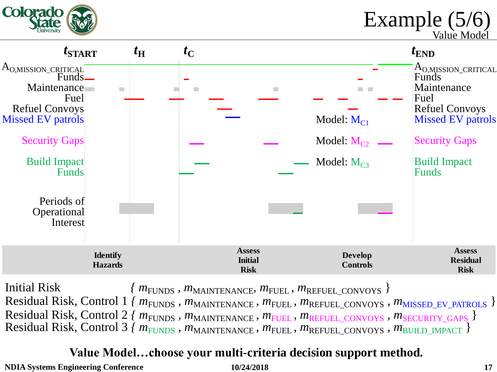

Example (5/6)

Value Model



**Hazard 1. Alpennie Barner** Residual Risk, Control 1 *{ m*FUNDS, *m*MAINTENANCE, *m*FUEL, *m*REFUEL\_CONVOYS, *m*MISSED\_EV\_PATROLS } Residual Risk, Control 2 *{ m<sub>FUNDS</sub>*, *m*<sub>MAINTENANCE</sub>, *m<sub>FUEL</sub>*, *m*<sub>REFUEL\_CONVOYS</sub>, *m*<sub>SECURITY\_GAPS</sub> } Residual Risk, Control 3 *{ m<sub>FUNDS</sub>*,  $m_{\text{MANTENANCE}}$ ,  $m_{\text{FUEL}}$ ,  $m_{\text{REFUEL}}$  convoys,  $m_{\text{BULLMPACT}}$  } Initial Risk  ${m_{\text{FUNDS}}}$ ,  ${m_{\text{MAINTENANCE}}}$ ,  ${m_{\text{FUEL}}}$ ,  ${m_{\text{REFUEL\_CONVOYS}}}$ 

#### **holistic demand response,**  Value Model...choose your multi-criteria decision support method.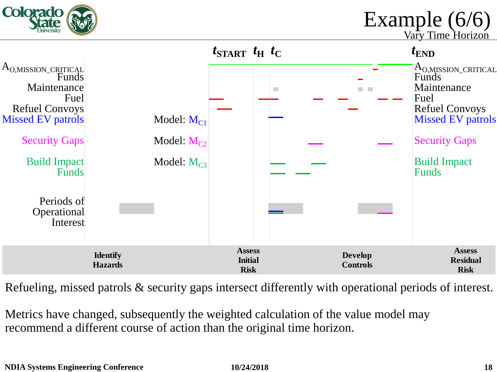

Example (6/6)

Vary Time Horizon



Refueling, missed patrols & security gaps intersect differently with operational periods of interest.

Metrics have changed, subsequently the weighted calculation of the value model may recommend a different course of action than the original time horizon.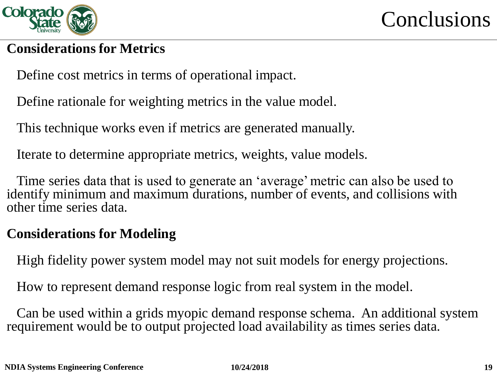

**Conclusions** 

#### **Considerations for Metrics**

Define cost metrics in terms of operational impact.

Define rationale for weighting metrics in the value model.

This technique works even if metrics are generated manually.

Iterate to determine appropriate metrics, weights, value models.

Time series data that is used to generate an 'average' metric can also be used to identify minimum and maximum durations, number of events, and collisions with other time series data.

#### **Considerations for Modeling**

High fidelity power system model may not suit models for energy projections.

How to represent demand response logic from real system in the model.

Can be used within a grids myopic demand response schema. An additional system requirement would be to output projected load availability as times series data.